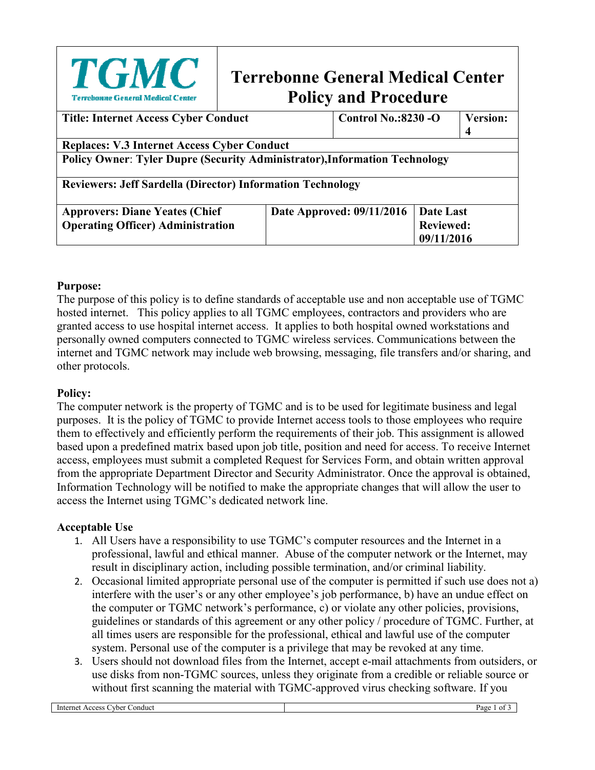| <b>TGMC</b><br>Terrebonne General Medical Center                                  | <b>Terrebonne General Medical Center</b><br><b>Policy and Procedure</b> |  |                  |                            |  |
|-----------------------------------------------------------------------------------|-------------------------------------------------------------------------|--|------------------|----------------------------|--|
| <b>Title: Internet Access Cyber Conduct</b>                                       |                                                                         |  |                  | <b>Control No.:8230 -O</b> |  |
|                                                                                   |                                                                         |  |                  |                            |  |
| <b>Replaces: V.3 Internet Access Cyber Conduct</b>                                |                                                                         |  |                  |                            |  |
| <b>Policy Owner: Tyler Dupre (Security Administrator), Information Technology</b> |                                                                         |  |                  |                            |  |
| <b>Reviewers: Jeff Sardella (Director) Information Technology</b>                 |                                                                         |  |                  |                            |  |
| <b>Approvers: Diane Yeates (Chief</b>                                             | Date Approved: 09/11/2016                                               |  | <b>Date Last</b> |                            |  |
| <b>Operating Officer) Administration</b>                                          | <b>Reviewed:</b>                                                        |  |                  |                            |  |
|                                                                                   |                                                                         |  |                  | 09/11/2016                 |  |

### **Purpose:**

The purpose of this policy is to define standards of acceptable use and non acceptable use of TGMC hosted internet. This policy applies to all TGMC employees, contractors and providers who are granted access to use hospital internet access. It applies to both hospital owned workstations and personally owned computers connected to TGMC wireless services. Communications between the internet and TGMC network may include web browsing, messaging, file transfers and/or sharing, and other protocols.

#### **Policy:**

The computer network is the property of TGMC and is to be used for legitimate business and legal purposes. It is the policy of TGMC to provide Internet access tools to those employees who require them to effectively and efficiently perform the requirements of their job. This assignment is allowed based upon a predefined matrix based upon job title, position and need for access. To receive Internet access, employees must submit a completed Request for Services Form, and obtain written approval from the appropriate Department Director and Security Administrator. Once the approval is obtained, Information Technology will be notified to make the appropriate changes that will allow the user to access the Internet using TGMC's dedicated network line.

### **Acceptable Use**

- 1. All Users have a responsibility to use TGMC's computer resources and the Internet in a professional, lawful and ethical manner. Abuse of the computer network or the Internet, may result in disciplinary action, including possible termination, and/or criminal liability.
- 2. Occasional limited appropriate personal use of the computer is permitted if such use does not a) interfere with the user's or any other employee's job performance, b) have an undue effect on the computer or TGMC network's performance, c) or violate any other policies, provisions, guidelines or standards of this agreement or any other policy / procedure of TGMC. Further, at all times users are responsible for the professional, ethical and lawful use of the computer system. Personal use of the computer is a privilege that may be revoked at any time.
- 3. Users should not download files from the Internet, accept e-mail attachments from outsiders, or use disks from non-TGMC sources, unless they originate from a credible or reliable source or without first scanning the material with TGMC-approved virus checking software. If you

| Interne.<br>vber<br>_onduct<br>Access | $v_{\text{age}}$<br>$\Omega$ |
|---------------------------------------|------------------------------|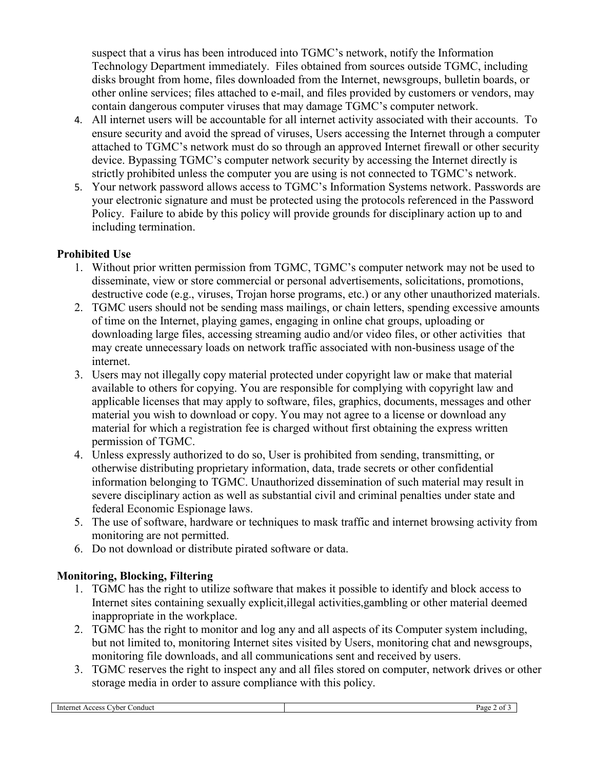suspect that a virus has been introduced into TGMC's network, notify the Information Technology Department immediately. Files obtained from sources outside TGMC, including disks brought from home, files downloaded from the Internet, newsgroups, bulletin boards, or other online services; files attached to e-mail, and files provided by customers or vendors, may contain dangerous computer viruses that may damage TGMC's computer network.

- 4. All internet users will be accountable for all internet activity associated with their accounts. To ensure security and avoid the spread of viruses, Users accessing the Internet through a computer attached to TGMC's network must do so through an approved Internet firewall or other security device. Bypassing TGMC's computer network security by accessing the Internet directly is strictly prohibited unless the computer you are using is not connected to TGMC's network.
- 5. Your network password allows access to TGMC's Information Systems network. Passwords are your electronic signature and must be protected using the protocols referenced in the Password Policy. Failure to abide by this policy will provide grounds for disciplinary action up to and including termination.

### **Prohibited Use**

- 1. Without prior written permission from TGMC, TGMC's computer network may not be used to disseminate, view or store commercial or personal advertisements, solicitations, promotions, destructive code (e.g., viruses, Trojan horse programs, etc.) or any other unauthorized materials.
- 2. TGMC users should not be sending mass mailings, or chain letters, spending excessive amounts of time on the Internet, playing games, engaging in online chat groups, uploading or downloading large files, accessing streaming audio and/or video files, or other activities that may create unnecessary loads on network traffic associated with non-business usage of the internet.
- 3. Users may not illegally copy material protected under copyright law or make that material available to others for copying. You are responsible for complying with copyright law and applicable licenses that may apply to software, files, graphics, documents, messages and other material you wish to download or copy. You may not agree to a license or download any material for which a registration fee is charged without first obtaining the express written permission of TGMC.
- 4. Unless expressly authorized to do so, User is prohibited from sending, transmitting, or otherwise distributing proprietary information, data, trade secrets or other confidential information belonging to TGMC. Unauthorized dissemination of such material may result in severe disciplinary action as well as substantial civil and criminal penalties under state and federal Economic Espionage laws.
- 5. The use of software, hardware or techniques to mask traffic and internet browsing activity from monitoring are not permitted.
- 6. Do not download or distribute pirated software or data.

# **Monitoring, Blocking, Filtering**

- 1. TGMC has the right to utilize software that makes it possible to identify and block access to Internet sites containing sexually explicit,illegal activities,gambling or other material deemed inappropriate in the workplace.
- 2. TGMC has the right to monitor and log any and all aspects of its Computer system including, but not limited to, monitoring Internet sites visited by Users, monitoring chat and newsgroups, monitoring file downloads, and all communications sent and received by users.
- 3. TGMC reserves the right to inspect any and all files stored on computer, network drives or other storage media in order to assure compliance with this policy.